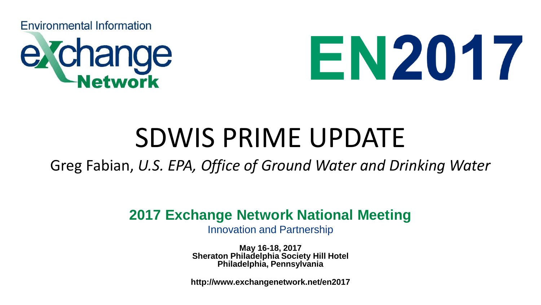



#### SDWIS PRIME UPDATE

Greg Fabian, *U.S. EPA, Office of Ground Water and Drinking Water*

#### **2017 Exchange Network National Meeting**

Innovation and Partnership

**May 16-18, 2017 Sheraton Philadelphia Society Hill Hotel Philadelphia, Pennsylvania**

**http://www.exchangenetwork.net/en2017**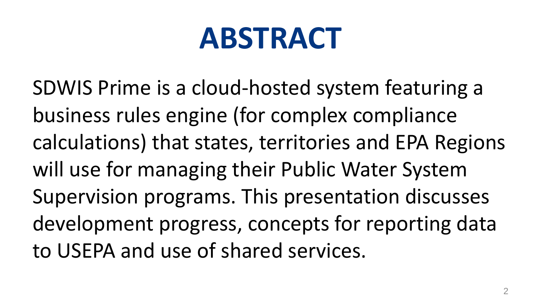## **ABSTRACT**

SDWIS Prime is a cloud-hosted system featuring a business rules engine (for complex compliance calculations) that states, territories and EPA Regions will use for managing their Public Water System Supervision programs. This presentation discusses development progress, concepts for reporting data to USEPA and use of shared services.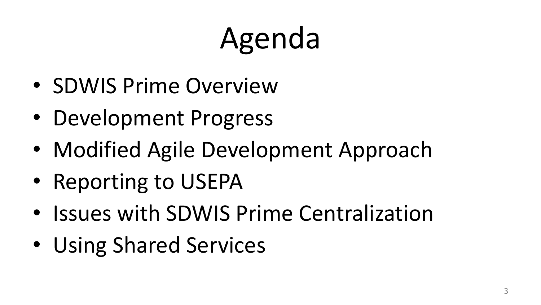# Agenda

- SDWIS Prime Overview
- Development Progress
- Modified Agile Development Approach
- Reporting to USEPA
- Issues with SDWIS Prime Centralization
- Using Shared Services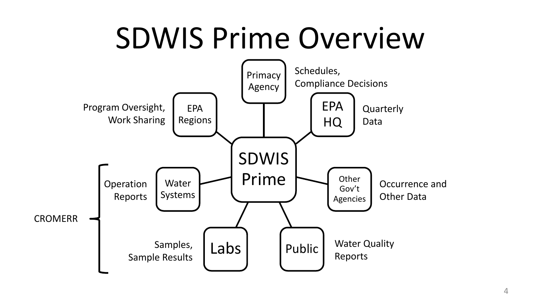## SDWIS Prime Overview

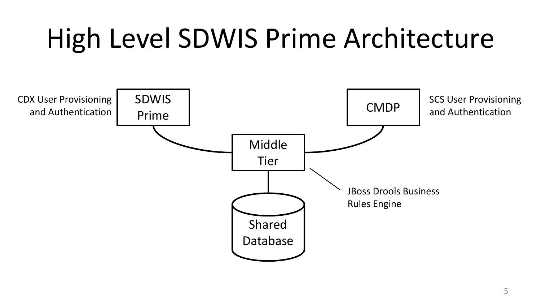## High Level SDWIS Prime Architecture

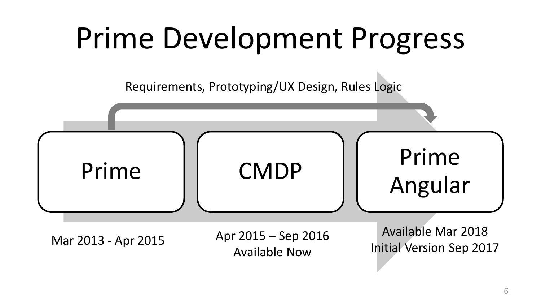## Prime Development Progress

Requirements, Prototyping/UX Design, Rules Logic

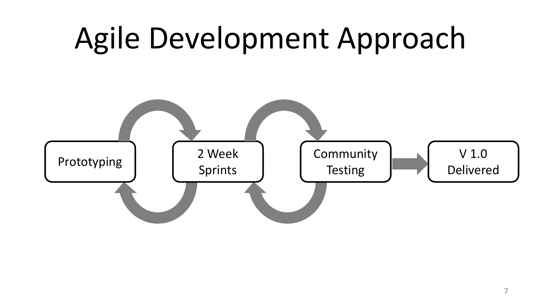#### Agile Development Approach Prototyping 2 Week Community **Testing** 2 Week Sprints V 1.0 Delivered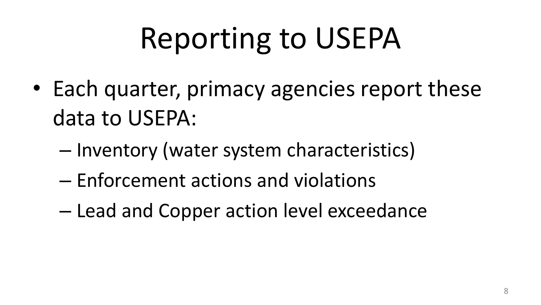# Reporting to USEPA

- Each quarter, primacy agencies report these data to USEPA:
	- Inventory (water system characteristics)
	- Enforcement actions and violations
	- Lead and Copper action level exceedance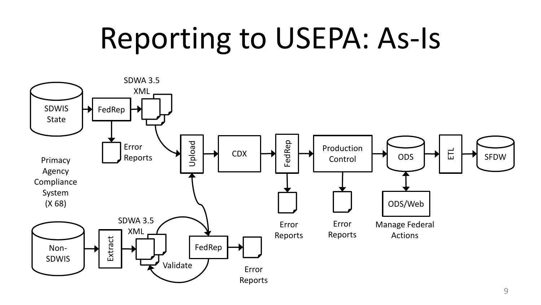## Reporting to USEPA: As-Is

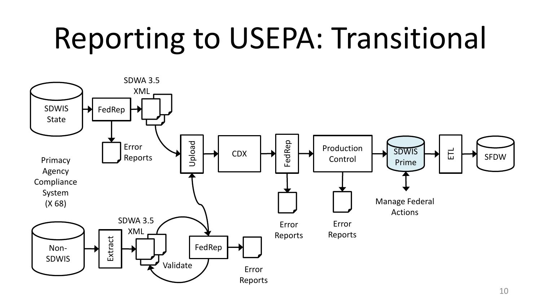## Reporting to USEPA: Transitional

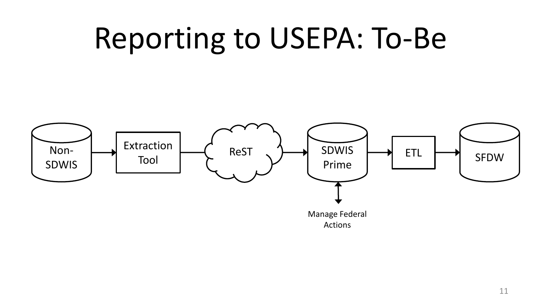## Reporting to USEPA: To-Be

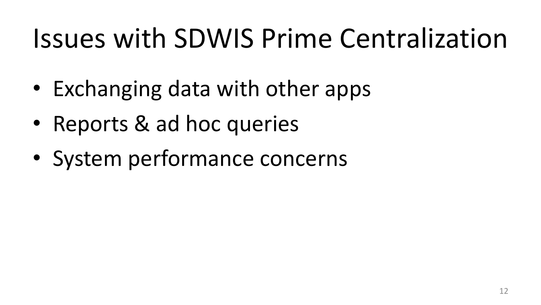## Issues with SDWIS Prime Centralization

- Exchanging data with other apps
- Reports & ad hoc queries
- System performance concerns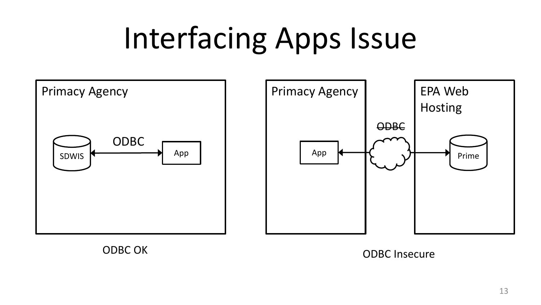## Interfacing Apps Issue



ODBC OK ODBC Insecure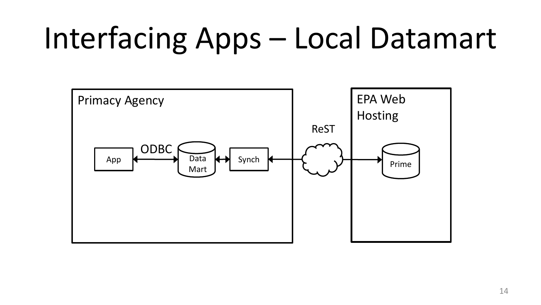# Interfacing Apps – Local Datamart

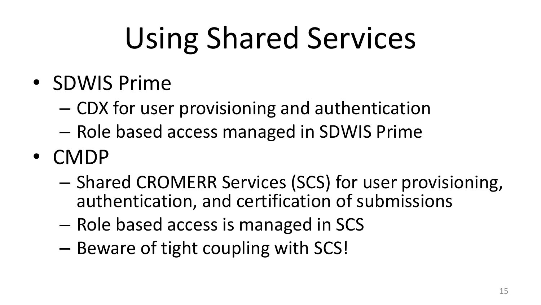# Using Shared Services

- SDWIS Prime
	- CDX for user provisioning and authentication
	- Role based access managed in SDWIS Prime
- CMDP
	- Shared CROMERR Services (SCS) for user provisioning, authentication, and certification of submissions
	- Role based access is managed in SCS
	- Beware of tight coupling with SCS!